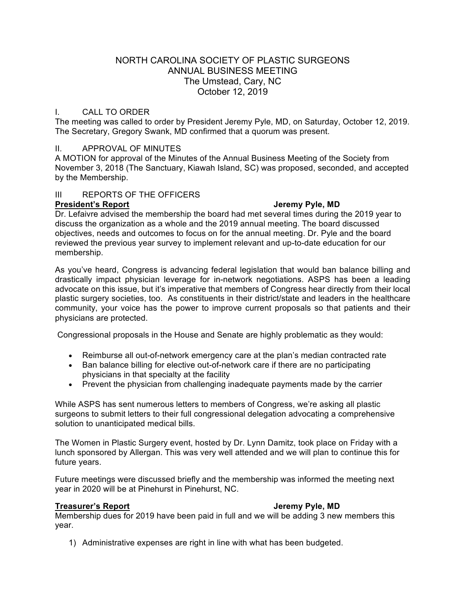# NORTH CAROLINA SOCIETY OF PLASTIC SURGEONS ANNUAL BUSINESS MEETING The Umstead, Cary, NC October 12, 2019

# I. CALL TO ORDER

The meeting was called to order by President Jeremy Pyle, MD, on Saturday, October 12, 2019. The Secretary, Gregory Swank, MD confirmed that a quorum was present.

## II. APPROVAL OF MINUTES

A MOTION for approval of the Minutes of the Annual Business Meeting of the Society from November 3, 2018 (The Sanctuary, Kiawah Island, SC) was proposed, seconded, and accepted by the Membership.

## III REPORTS OF THE OFFICERS

## **President's Report Jeremy Pyle, MD**

Dr. Lefaivre advised the membership the board had met several times during the 2019 year to discuss the organization as a whole and the 2019 annual meeting. The board discussed objectives, needs and outcomes to focus on for the annual meeting. Dr. Pyle and the board reviewed the previous year survey to implement relevant and up-to-date education for our membership.

As you've heard, Congress is advancing federal legislation that would ban balance billing and drastically impact physician leverage for in-network negotiations. ASPS has been a leading advocate on this issue, but it's imperative that members of Congress hear directly from their local plastic surgery societies, too. As constituents in their district/state and leaders in the healthcare community, your voice has the power to improve current proposals so that patients and their physicians are protected.

Congressional proposals in the House and Senate are highly problematic as they would:

- Reimburse all out-of-network emergency care at the plan's median contracted rate
- Ban balance billing for elective out-of-network care if there are no participating physicians in that specialty at the facility
- Prevent the physician from challenging inadequate payments made by the carrier

While ASPS has sent numerous letters to members of Congress, we're asking all plastic surgeons to submit letters to their full congressional delegation advocating a comprehensive solution to unanticipated medical bills.

The Women in Plastic Surgery event, hosted by Dr. Lynn Damitz, took place on Friday with a lunch sponsored by Allergan. This was very well attended and we will plan to continue this for future years.

Future meetings were discussed briefly and the membership was informed the meeting next year in 2020 will be at Pinehurst in Pinehurst, NC.

### **Treasurer's Report Jeremy Pyle, MD**

Membership dues for 2019 have been paid in full and we will be adding 3 new members this year.

1) Administrative expenses are right in line with what has been budgeted.